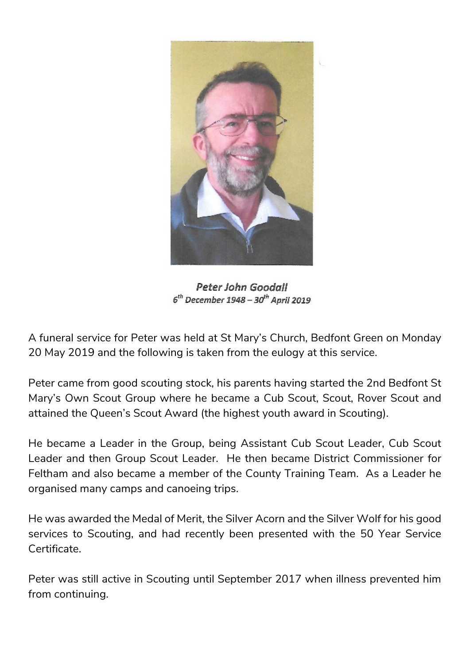

Peter John Goodall  $6^{th}$  December 1948 -  $30^{th}$  April 2019

A funeral service for Peter was held at St Mary's Church, Bedfont Green on Monday 20 May 2019 and the following is taken from the eulogy at this service.

Peter came from good scouting stock, his parents having started the 2nd Bedfont St Mary's Own Scout Group where he became a Cub Scout, Scout, Rover Scout and attained the Queen's Scout Award (the highest youth award in Scouting).

He became a Leader in the Group, being Assistant Cub Scout Leader, Cub Scout Leader and then Group Scout Leader. He then became District Commissioner for Feltham and also became a member of the County Training Team. As a Leader he organised many camps and canoeing trips.

He was awarded the Medal of Merit, the Silver Acorn and the Silver Wolf for his good services to Scouting, and had recently been presented with the 50 Year Service Certificate.

Peter was still active in Scouting until September 2017 when illness prevented him from continuing.